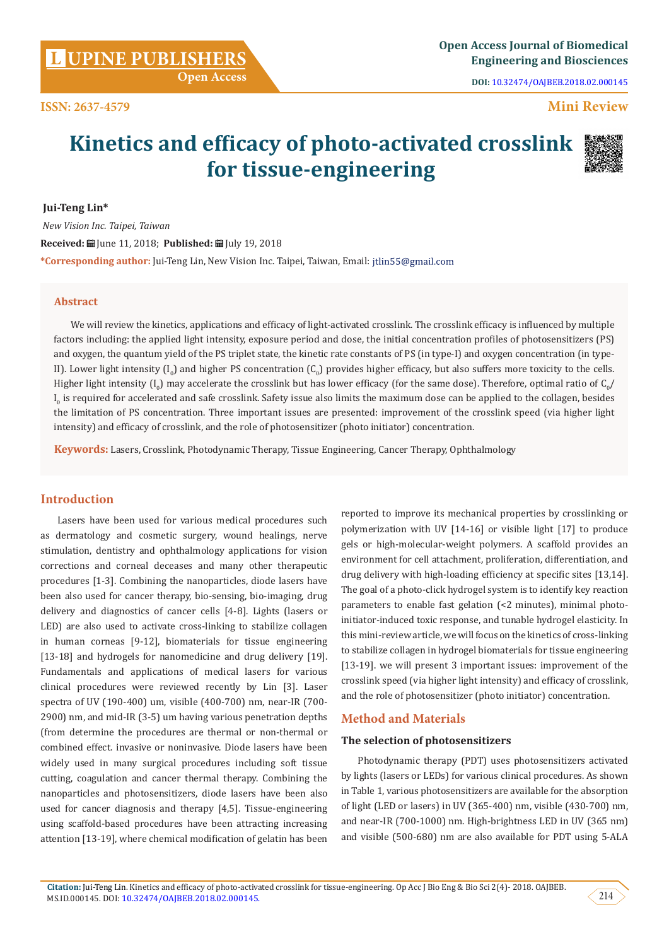**DOI:** [10.32474/OAJBEB.2018.02.000145](http://dx.doi.org/10.32474/OAJBEB.2018.02.000145)

# **Mini Review**

# **Kinetics and efficacy of photo-activated crosslink for tissue-engineering**



 **Jui-Teng Lin\***

 *New Vision Inc. Taipei, Taiwan* Received: **自** June 11, 2018; Published: 自 July 19, 2018 **\*Corresponding author:** Jui-Teng Lin, New Vision Inc. Taipei, Taiwan, Email:

## **Abstract**

We will review the kinetics, applications and efficacy of light-activated crosslink. The crosslink efficacy is influenced by multiple factors including: the applied light intensity, exposure period and dose, the initial concentration profiles of photosensitizers (PS) and oxygen, the quantum yield of the PS triplet state, the kinetic rate constants of PS (in type-I) and oxygen concentration (in type-II). Lower light intensity  $(1_{0})$  and higher PS concentration  $(C_{0})$  provides higher efficacy, but also suffers more toxicity to the cells. Higher light intensity (I<sub>0</sub>) may accelerate the crosslink but has lower efficacy (for the same dose). Therefore, optimal ratio of C<sub>0</sub>/  ${\rm I}_0$  is required for accelerated and safe crosslink. Safety issue also limits the maximum dose can be applied to the collagen, besides the limitation of PS concentration. Three important issues are presented: improvement of the crosslink speed (via higher light intensity) and efficacy of crosslink, and the role of photosensitizer (photo initiator) concentration.

**Keywords:** Lasers, Crosslink, Photodynamic Therapy, Tissue Engineering, Cancer Therapy, Ophthalmology

# **Introduction**

Lasers have been used for various medical procedures such as dermatology and cosmetic surgery, wound healings, nerve stimulation, dentistry and ophthalmology applications for vision corrections and corneal deceases and many other therapeutic procedures [1-3]. Combining the nanoparticles, diode lasers have been also used for cancer therapy, bio-sensing, bio-imaging, drug delivery and diagnostics of cancer cells [4-8]. Lights (lasers or LED) are also used to activate cross-linking to stabilize collagen in human corneas [9-12], biomaterials for tissue engineering [13-18] and hydrogels for nanomedicine and drug delivery [19]. Fundamentals and applications of medical lasers for various clinical procedures were reviewed recently by Lin [3]. Laser spectra of UV (190-400) um, visible (400-700) nm, near-IR (700- 2900) nm, and mid-IR (3-5) um having various penetration depths (from determine the procedures are thermal or non-thermal or combined effect. invasive or noninvasive. Diode lasers have been widely used in many surgical procedures including soft tissue cutting, coagulation and cancer thermal therapy. Combining the nanoparticles and photosensitizers, diode lasers have been also used for cancer diagnosis and therapy [4,5]. Tissue-engineering using scaffold-based procedures have been attracting increasing attention [13-19], where chemical modification of gelatin has been

reported to improve its mechanical properties by crosslinking or polymerization with UV [14-16] or visible light [17] to produce gels or high-molecular-weight polymers. A scaffold provides an environment for cell attachment, proliferation, differentiation, and drug delivery with high-loading efficiency at specific sites [13,14]. The goal of a photo-click hydrogel system is to identify key reaction parameters to enable fast gelation (<2 minutes), minimal photoinitiator-induced toxic response, and tunable hydrogel elasticity. In this mini-review article, we will focus on the kinetics of cross-linking to stabilize collagen in hydrogel biomaterials for tissue engineering [13-19]. we will present 3 important issues: improvement of the crosslink speed (via higher light intensity) and efficacy of crosslink, and the role of photosensitizer (photo initiator) concentration.

## **Method and Materials**

#### **The selection of photosensitizers**

Photodynamic therapy (PDT) uses photosensitizers activated by lights (lasers or LEDs) for various clinical procedures. As shown in Table 1, various photosensitizers are available for the absorption of light (LED or lasers) in UV (365-400) nm, visible (430-700) nm, and near-IR (700-1000) nm. High-brightness LED in UV (365 nm) and visible (500-680) nm are also available for PDT using 5-ALA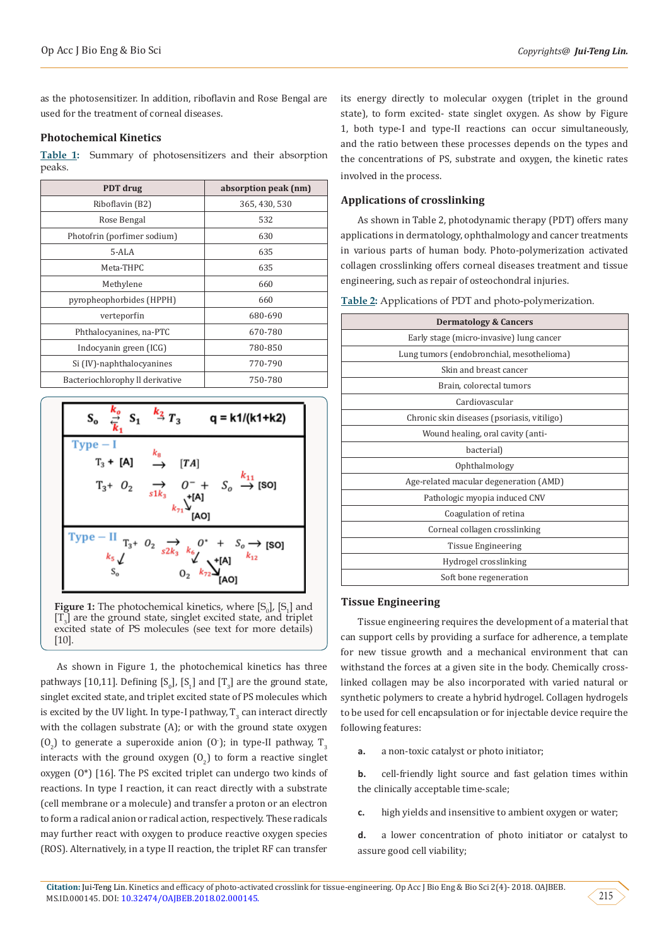as the photosensitizer. In addition, riboflavin and Rose Bengal are used for the treatment of corneal diseases.

## **Photochemical Kinetics**

**Table 1:** Summary of photosensitizers and their absorption peaks.

| PDT drug                        | absorption peak (nm) |  |  |
|---------------------------------|----------------------|--|--|
| Riboflavin (B2)                 | 365, 430, 530        |  |  |
| Rose Bengal                     | 532                  |  |  |
| Photofrin (porfimer sodium)     | 630                  |  |  |
| $5 - AI.A$                      | 635                  |  |  |
| Meta-THPC                       | 635                  |  |  |
| Methylene                       | 660                  |  |  |
| pyropheophorbides (HPPH)        | 660                  |  |  |
| verteporfin                     | 680-690              |  |  |
| Phthalocyanines, na-PTC         | 670-780              |  |  |
| Indocyanin green (ICG)          | 780-850              |  |  |
| Si (IV)-naphthalocyanines       | 770-790              |  |  |
| Bacteriochlorophy Il derivative | 750-780              |  |  |



[T<sub>3</sub>] are the ground state, singlet excited state, and triplet excited state of PS molecules (see text for more details) [10].

As shown in Figure 1, the photochemical kinetics has three pathways [10,11]. Defining  $[S_0]$ ,  $[S_1]$  and  $[T_3]$  are the ground state, singlet excited state, and triplet excited state of PS molecules which is excited by the UV light. In type-I pathway,  $\Gamma_{3}$  can interact directly with the collagen substrate (A); or with the ground state oxygen  $(0<sub>2</sub>)$  to generate a superoxide anion (O<sup>-</sup>); in type-II pathway, T<sub>3</sub> interacts with the ground oxygen  $(0<sub>2</sub>)$  to form a reactive singlet oxygen (O\*) [16]. The PS excited triplet can undergo two kinds of reactions. In type I reaction, it can react directly with a substrate (cell membrane or a molecule) and transfer a proton or an electron to form a radical anion or radical action, respectively. These radicals may further react with oxygen to produce reactive oxygen species (ROS). Alternatively, in a type II reaction, the triplet RF can transfer

its energy directly to molecular oxygen (triplet in the ground state), to form excited- state singlet oxygen. As show by Figure 1, both type-I and type-II reactions can occur simultaneously, and the ratio between these processes depends on the types and the concentrations of PS, substrate and oxygen, the kinetic rates involved in the process.

## **Applications of crosslinking**

As shown in Table 2, photodynamic therapy (PDT) offers many applications in dermatology, ophthalmology and cancer treatments in various parts of human body. Photo-polymerization activated collagen crosslinking offers corneal diseases treatment and tissue engineering, such as repair of osteochondral injuries.

|  |  |  |  | Table 2: Applications of PDT and photo-polymerization. |
|--|--|--|--|--------------------------------------------------------|
|--|--|--|--|--------------------------------------------------------|

| <b>Dermatology &amp; Cancers</b>            |  |  |
|---------------------------------------------|--|--|
| Early stage (micro-invasive) lung cancer    |  |  |
| Lung tumors (endobronchial, mesothelioma)   |  |  |
| Skin and breast cancer                      |  |  |
| Brain, colorectal tumors                    |  |  |
| Cardiovascular                              |  |  |
| Chronic skin diseases (psoriasis, vitiligo) |  |  |
| Wound healing, oral cavity (anti-           |  |  |
| bacterial)                                  |  |  |
| Ophthalmology                               |  |  |
| Age-related macular degeneration (AMD)      |  |  |
| Pathologic myopia induced CNV               |  |  |
| Coagulation of retina                       |  |  |
| Corneal collagen crosslinking               |  |  |
| Tissue Engineering                          |  |  |
| Hydrogel crosslinking                       |  |  |
| Soft bone regeneration                      |  |  |

#### **Tissue Engineering**

Tissue engineering requires the development of a material that can support cells by providing a surface for adherence, a template for new tissue growth and a mechanical environment that can withstand the forces at a given site in the body. Chemically crosslinked collagen may be also incorporated with varied natural or synthetic polymers to create a hybrid hydrogel. Collagen hydrogels to be used for cell encapsulation or for injectable device require the following features:

**a.** a non-toxic catalyst or photo initiator;

**b.** cell-friendly light source and fast gelation times within the clinically acceptable time-scale;

**c.** high yields and insensitive to ambient oxygen or water;

**d.** a lower concentration of photo initiator or catalyst to assure good cell viability;

215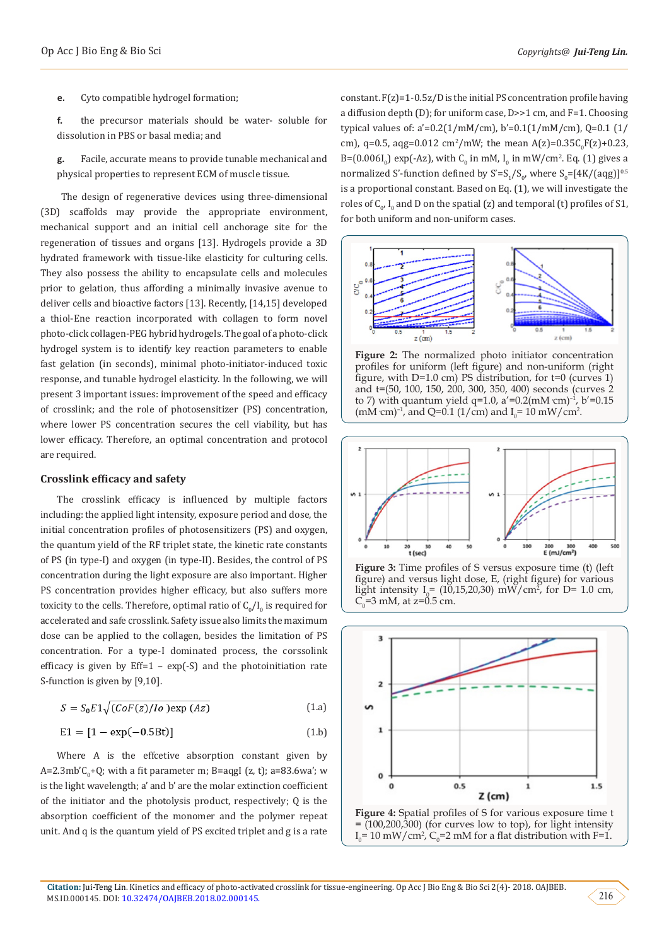**e.** Cyto compatible hydrogel formation;

- **f.** the precursor materials should be water- soluble for dissolution in PBS or basal media; and
- **g.** Facile, accurate means to provide tunable mechanical and physical properties to represent ECM of muscle tissue.

 The design of regenerative devices using three-dimensional (3D) scaffolds may provide the appropriate environment, mechanical support and an initial cell anchorage site for the regeneration of tissues and organs [13]. Hydrogels provide a 3D hydrated framework with tissue-like elasticity for culturing cells. They also possess the ability to encapsulate cells and molecules prior to gelation, thus affording a minimally invasive avenue to deliver cells and bioactive factors [13]. Recently, [14,15] developed a thiol-Ene reaction incorporated with collagen to form novel photo-click collagen-PEG hybrid hydrogels. The goal of a photo-click hydrogel system is to identify key reaction parameters to enable fast gelation (in seconds), minimal photo-initiator-induced toxic response, and tunable hydrogel elasticity. In the following, we will present 3 important issues: improvement of the speed and efficacy of crosslink; and the role of photosensitizer (PS) concentration, where lower PS concentration secures the cell viability, but has lower efficacy. Therefore, an optimal concentration and protocol are required.

#### **Crosslink efficacy and safety**

The crosslink efficacy is influenced by multiple factors including: the applied light intensity, exposure period and dose, the initial concentration profiles of photosensitizers (PS) and oxygen, the quantum yield of the RF triplet state, the kinetic rate constants of PS (in type-I) and oxygen (in type-II). Besides, the control of PS concentration during the light exposure are also important. Higher PS concentration provides higher efficacy, but also suffers more toxicity to the cells. Therefore, optimal ratio of  $\mathsf{C}_0/\mathsf{I}_0$  is required for accelerated and safe crosslink. Safety issue also limits the maximum dose can be applied to the collagen, besides the limitation of PS concentration. For a type-I dominated process, the corssolink efficacy is given by Eff=1 –  $exp(-S)$  and the photoinitiation rate S-function is given by [9,10].

$$
S = S_0 E 1 \sqrt{(C \circ F(z) / I \circ \text{) exp}(Az)} \tag{1.3}
$$

$$
E1 = [1 - \exp(-0.5Bt)] \tag{1.b}
$$

Where A is the effcetive absorption constant given by A=2.3mb  $C_{0}$ +Q; with a fit parameter m; B=aqgl (z, t); a=83.6wa ; w is the light wavelength; a' and b' are the molar extinction coefficient of the initiator and the photolysis product, respectively; Q is the absorption coefficient of the monomer and the polymer repeat unit. And q is the quantum yield of PS excited triplet and g is a rate constant.  $F(z)=1-0.5z/D$  is the initial PS concentration profile having a diffusion depth (D); for uniform case, D>>1 cm, and F=1. Choosing typical values of: a'=0.2(1/mM/cm), b'=0.1(1/mM/cm), Q=0.1 (1/ cm), q=0.5, aqg=0.012 cm<sup>2</sup>/mW; the mean A(z)=0.35C<sub>0</sub>F(z)+0.23, B=(0.006I<sub>0</sub>) exp(-Az), with C<sub>0</sub> in mM, I<sub>0</sub> in mW/cm<sup>2</sup>. Eq. (1) gives a normalized S'-function defined by  $S' = S_1/S_o$ , where  $S_o = [4K/(aqg)]^{0.5}$ is a proportional constant. Based on Eq. (1), we will investigate the roles of  $C_{0}$ ,  $I_{0}$  and D on the spatial (z) and temporal (t) profiles of S1, for both uniform and non-uniform cases.



**Figure 2:** The normalized photo initiator concentration profiles for uniform (left figure) and non-uniform (right figure, with  $D=1.0$  cm) PS distribution, for  $t=0$  (curves 1) and t=(50, 100, 150, 200, 300, 350, 400) seconds (curves 2 to 7) with quantum yield q=1.0,  $a' = 0.2$ (mM cm)<sup>-1</sup>, b'=0.15 (mM cm)<sup>-1</sup>, and Q=0.1 (1/cm) and  $I_0$ = 10 mW/cm<sup>2</sup>.



**Figure 3:** Time profiles of S versus exposure time (t) (left figure) and versus light dose, E, (right figure) for various light intensity  $I_{\rho} = (10,15,20,30)$  mW/cm<sup>2</sup>, for D= 1.0 cm,  $C_0$ =3 mM, at z=0.5 cm.



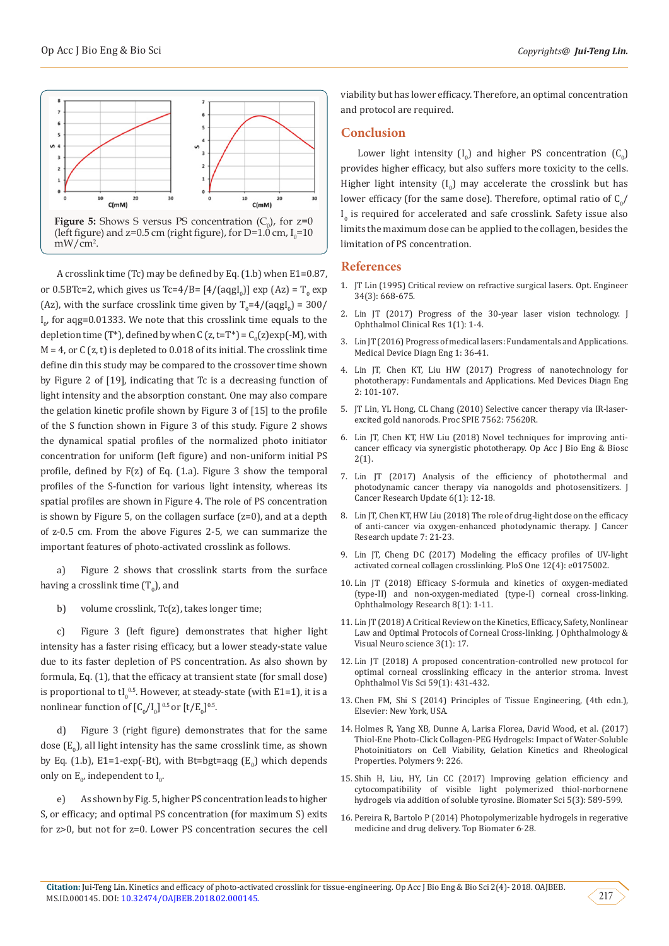

A crosslink time (Tc) may be defined by Eq. (1.b) when E1=0.87, or  $0.5B$ Tc=2, which gives us Tc=4/B=  $[4/(\text{aggl}_0)]$  exp  $(Az) = T_0$  exp (Az), with the surface crosslink time given by  $T_0=4/(aqgl_0)=300/$  $I_{0'}$  for aqg=0.01333. We note that this crosslink time equals to the depletion time (T\*), defined by when C  $(z, t=1^*) = C_0(z) \exp(-M)$ , with  $M = 4$ , or C (z, t) is depleted to 0.018 of its initial. The crosslink time define din this study may be compared to the crossover time shown by Figure 2 of [19], indicating that Tc is a decreasing function of light intensity and the absorption constant. One may also compare the gelation kinetic profile shown by Figure 3 of [15] to the profile of the S function shown in Figure 3 of this study. Figure 2 shows the dynamical spatial profiles of the normalized photo initiator concentration for uniform (left figure) and non-uniform initial PS profile, defined by F(z) of Eq. (1.a). Figure 3 show the temporal profiles of the S-function for various light intensity, whereas its spatial profiles are shown in Figure 4. The role of PS concentration is shown by Figure 5, on the collagen surface (z=0), and at a depth of z-0.5 cm. From the above Figures 2-5, we can summarize the important features of photo-activated crosslink as follows.

a) Figure 2 shows that crosslink starts from the surface having a crosslink time  $(T_{0})$ , and

b) volume crosslink, Tc(z), takes longer time;

c) Figure 3 (left figure) demonstrates that higher light intensity has a faster rising efficacy, but a lower steady-state value due to its faster depletion of PS concentration. As also shown by formula, Eq. (1), that the efficacy at transient state (for small dose) is proportional to  $t \int_0^{0.5}$ . However, at steady-state (with E1=1), it is a nonlinear function of  $[C_0/I_0]$ <sup>0.5</sup> or  $[t/E_0]$ <sup>0.5</sup>.

d) Figure 3 (right figure) demonstrates that for the same dose  $(E_{0})$ , all light intensity has the same crosslink time, as shown by Eq. (1.b), E1=1-exp(-Bt), with Bt=bgt=aqg  $(E_0)$  which depends only on  $E_0$ , independent to  $I_0$ .

e) As shown by Fig. 5, higher PS concentration leads to higher S, or efficacy; and optimal PS concentration (for maximum S) exits for z>0, but not for z=0. Lower PS concentration secures the cell

viability but has lower efficacy. Therefore, an optimal concentration and protocol are required.

### **Conclusion**

Lower light intensity  $(I_0)$  and higher PS concentration  $(C_0)$ provides higher efficacy, but also suffers more toxicity to the cells. Higher light intensity  $(I_0)$  may accelerate the crosslink but has lower efficacy (for the same dose). Therefore, optimal ratio of  $\mathsf{C}_0$ /  $I_0$  is required for accelerated and safe crosslink. Safety issue also limits the maximum dose can be applied to the collagen, besides the limitation of PS concentration.

#### **References**

- 1. [JT Lin \(1995\) Critical review on refractive surgical lasers. Opt. Engineer](https://www.spiedigitallibrary.org/journals/Optical-Engineering/volume-34/issue-3/0000/Critical-review-on-refractive-surgical-lasers/10.1117/12.199376.short?SSO=1) [34\(3\): 668-675.](https://www.spiedigitallibrary.org/journals/Optical-Engineering/volume-34/issue-3/0000/Critical-review-on-refractive-surgical-lasers/10.1117/12.199376.short?SSO=1)
- 2. [Lin JT \(2017\) Progress of the 30-year laser vision technology. J](http://www.opastonline.com/wp-content/uploads/2017/01/progress-of-the-30-year-laser-vision-technology-jocr-17-002.pdf) [Ophthalmol Clinical Res 1\(1\): 1-4.](http://www.opastonline.com/wp-content/uploads/2017/01/progress-of-the-30-year-laser-vision-technology-jocr-17-002.pdf)
- 3. [Lin JT \(2016\) Progress of medical lasers: Fundamentals and Applications.](http://www.oatext.com/Progress-of-medical-lasers-Fundamentals-and-Applications.php) [Medical Device Diagn Eng 1: 36-41.](http://www.oatext.com/Progress-of-medical-lasers-Fundamentals-and-Applications.php)
- 4. Lin JT, Chen KT, Liu HW (2017) Progress of nanotechnology for phototherapy: Fundamentals and Applications. Med Devices Diagn Eng 2: 101-107.
- 5. [JT Lin, YL Hong, CL Chang \(2010\) Selective cancer therapy via IR-laser](https://www.spiedigitallibrary.org/conference-proceedings-of-spie/7562/1/Selective-cancer-therapy-via-IR-laser-excited-gold-nanorods/10.1117/12.841348.short)[excited gold nanorods. Proc SPIE 7562: 75620R.](https://www.spiedigitallibrary.org/conference-proceedings-of-spie/7562/1/Selective-cancer-therapy-via-IR-laser-excited-gold-nanorods/10.1117/12.841348.short)
- 6. [Lin JT, Chen KT, HW Liu \(2018\) Novel techniques for improving anti](http://www.lupinepublishers.com/oajbeb/pdf/OAJBEB.MS.ID.000126.pdf)[cancer efficacy via synergistic phototherapy. Op Acc J Bio Eng & Biosc](http://www.lupinepublishers.com/oajbeb/pdf/OAJBEB.MS.ID.000126.pdf) [2\(1\).](http://www.lupinepublishers.com/oajbeb/pdf/OAJBEB.MS.ID.000126.pdf)
- 7. [Lin JT \(2017\) Analysis of the efficiency of photothermal and](http://www.lifescienceglobal.com/pms/index.php/jcru/article/view/4392) [photodynamic cancer therapy via nanogolds and photosensitizers. J](http://www.lifescienceglobal.com/pms/index.php/jcru/article/view/4392) [Cancer Research Update 6\(1\): 12-18.](http://www.lifescienceglobal.com/pms/index.php/jcru/article/view/4392)
- 8. Lin JT, Chen KT, HW Liu (2018) The role of drug-light dose on the efficacy of anti-cancer via oxygen-enhanced photodynamic therapy. J Cancer Research update 7: 21-23.
- 9. [Lin JT, Cheng DC \(2017\) Modeling the efficacy profiles of UV-light](https://www.ncbi.nlm.nih.gov/pubmed/28384251) [activated corneal collagen crosslinking. PloS One 12\(4\): e0175002.](https://www.ncbi.nlm.nih.gov/pubmed/28384251)
- 10. [Lin JT \(2018\) Efficacy S-formula and kinetics of oxygen-mediated](http://www.sciencedomain.org/abstract/22735) [\(type-II\) and non-oxygen-mediated \(type-I\) corneal cross-linking.](http://www.sciencedomain.org/abstract/22735) [Ophthalmology Research 8\(1\): 1-11.](http://www.sciencedomain.org/abstract/22735)
- 11. [Lin JT \(2018\) A Critical Review on the Kinetics, Efficacy, Safety, Nonlinear](https://scientonline.org/open-access/a-critical-review-on-the-kinetics-efficacy-safety-nonlinear-law-and-optimal-protocols-of-corneal-crosslinking.pdf) [Law and Optimal Protocols of Corneal Cross-linking. J Ophthalmology &](https://scientonline.org/open-access/a-critical-review-on-the-kinetics-efficacy-safety-nonlinear-law-and-optimal-protocols-of-corneal-crosslinking.pdf) [Visual Neuro science 3\(1\): 17.](https://scientonline.org/open-access/a-critical-review-on-the-kinetics-efficacy-safety-nonlinear-law-and-optimal-protocols-of-corneal-crosslinking.pdf)
- 12. [Lin JT \(2018\) A proposed concentration-controlled new protocol for](https://www.ncbi.nlm.nih.gov/pubmed/29365149) [optimal corneal crosslinking efficacy in the anterior stroma. Invest](https://www.ncbi.nlm.nih.gov/pubmed/29365149) [Ophthalmol Vis Sci 59\(1\): 431-432.](https://www.ncbi.nlm.nih.gov/pubmed/29365149)
- 13. [Chen FM, Shi S \(2014\) Principles of Tissue Engineering, \(4th edn.\),](https://www.elsevier.com/books/principles-of-tissue-engineering/lanza/978-0-12-398358-9) [Elsevier: New York, USA.](https://www.elsevier.com/books/principles-of-tissue-engineering/lanza/978-0-12-398358-9)
- 14. [Holmes R, Yang XB, Dunne A, Larisa Florea, David Wood, et al. \(2017\)](https://arxiv.org/abs/1706.03043) [Thiol-Ene Photo-Click Collagen-PEG Hydrogels: Impact of Water-Soluble](https://arxiv.org/abs/1706.03043) [Photoinitiators on Cell Viability, Gelation Kinetics and Rheological](https://arxiv.org/abs/1706.03043) [Properties. Polymers 9: 226.](https://arxiv.org/abs/1706.03043)
- 15. [Shih H, Liu, HY, Lin CC \(2017\) Improving gelation efficiency and](https://www.ncbi.nlm.nih.gov/pubmed/28174779) [cytocompatibility of visible light polymerized thiol-norbornene](https://www.ncbi.nlm.nih.gov/pubmed/28174779) [hydrogels via addition of soluble tyrosine. Biomater Sci 5\(3\): 589-599.](https://www.ncbi.nlm.nih.gov/pubmed/28174779)
- 16. [Pereira R, Bartolo P \(2014\) Photopolymerizable hydrogels in regerative](https://www.researchgate.net/publication/297363705_Photopolymerizable_hydrogels_in_regenerative_medicine_and_drug_delivery) [medicine and drug delivery. Top Biomater 6-28.](https://www.researchgate.net/publication/297363705_Photopolymerizable_hydrogels_in_regenerative_medicine_and_drug_delivery)

217